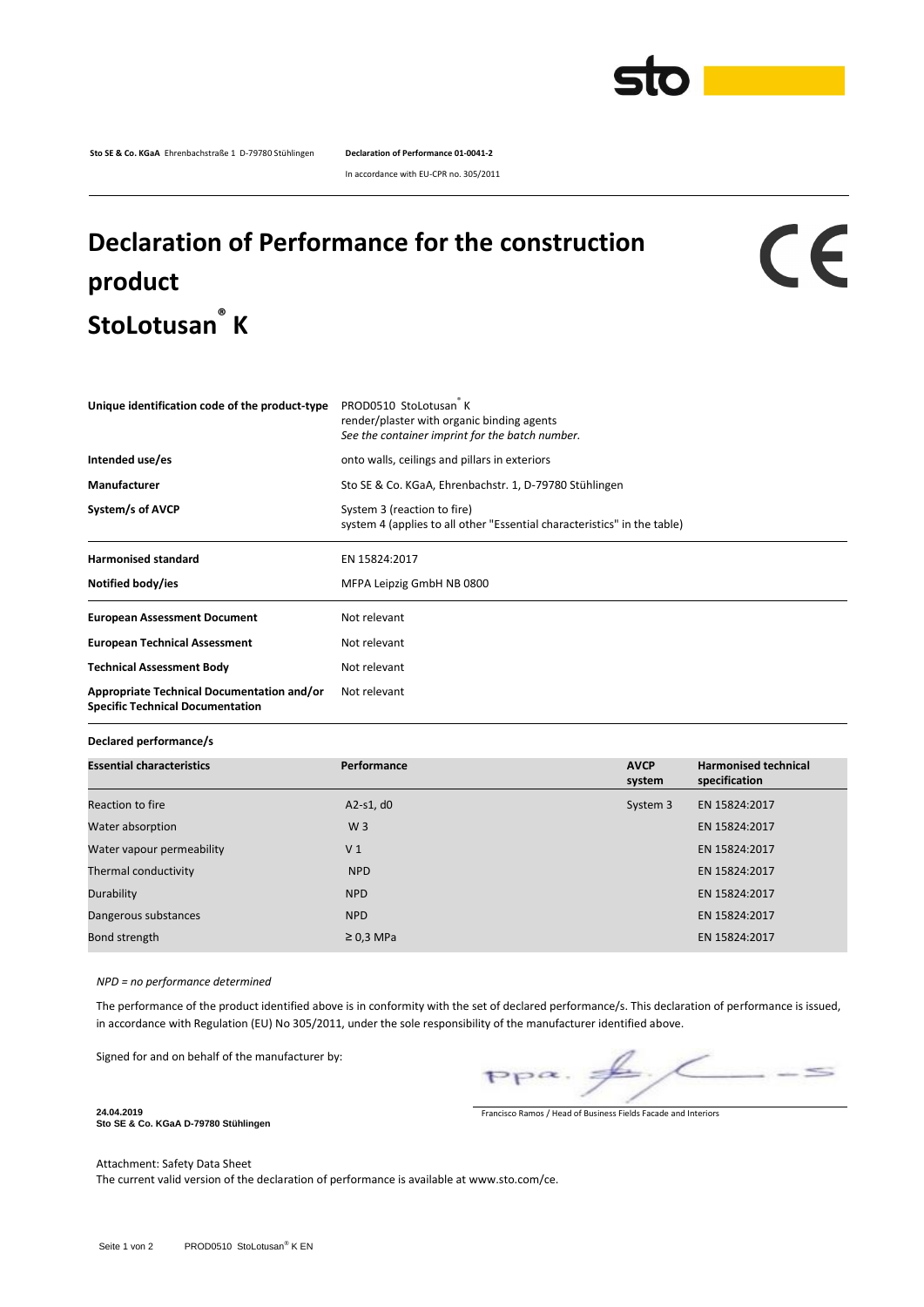

**Sto SE & Co. KGaA** Ehrenbachstraße 1 D-79780 Stühlingen **Declaration of Performance 01-0041-2**

In accordance with EU-CPR no. 305/2011

## **Declaration of Performance for the construction product StoLotusan ® K**

## CE

| PROD0510 StoLotusan K<br>Unique identification code of the product-type<br>render/plaster with organic binding agents<br>See the container imprint for the batch number. |
|--------------------------------------------------------------------------------------------------------------------------------------------------------------------------|
| onto walls, ceilings and pillars in exteriors                                                                                                                            |
| Sto SE & Co. KGaA, Ehrenbachstr. 1, D-79780 Stühlingen                                                                                                                   |
| System 3 (reaction to fire)<br>system 4 (applies to all other "Essential characteristics" in the table)                                                                  |
| EN 15824:2017                                                                                                                                                            |
| MFPA Leipzig GmbH NB 0800                                                                                                                                                |
| Not relevant                                                                                                                                                             |
| Not relevant                                                                                                                                                             |
| Not relevant                                                                                                                                                             |
| Not relevant                                                                                                                                                             |
|                                                                                                                                                                          |

**Declared performance/s**

| <b>Essential characteristics</b> | Performance    | <b>AVCP</b><br>system | <b>Harmonised technical</b><br>specification |  |
|----------------------------------|----------------|-----------------------|----------------------------------------------|--|
| Reaction to fire                 | A2-s1, $d0$    | System 3              | EN 15824:2017                                |  |
| Water absorption                 | W <sub>3</sub> |                       | EN 15824:2017                                |  |
| Water vapour permeability        | V <sub>1</sub> |                       | EN 15824:2017                                |  |
| Thermal conductivity             | <b>NPD</b>     |                       | EN 15824:2017                                |  |
| Durability                       | <b>NPD</b>     |                       | EN 15824:2017                                |  |
| Dangerous substances             | <b>NPD</b>     |                       | EN 15824:2017                                |  |
| Bond strength                    | $\geq$ 0.3 MPa |                       | EN 15824:2017                                |  |

*NPD = no performance determined*

The performance of the product identified above is in conformity with the set of declared performance/s. This declaration of performance is issued, in accordance with Regulation (EU) No 305/2011, under the sole responsibility of the manufacturer identified above.

Signed for and on behalf of the manufacturer by:

 $\leq$ 

Francisco Ramos / Head of Business Fields Facade and Interiors

**Sto SE & Co. KGaA D-79780 Stühlingen**

**24.04.2019**

Attachment: Safety Data Sheet

The current valid version of the declaration of performance is available at www.sto.com/ce.